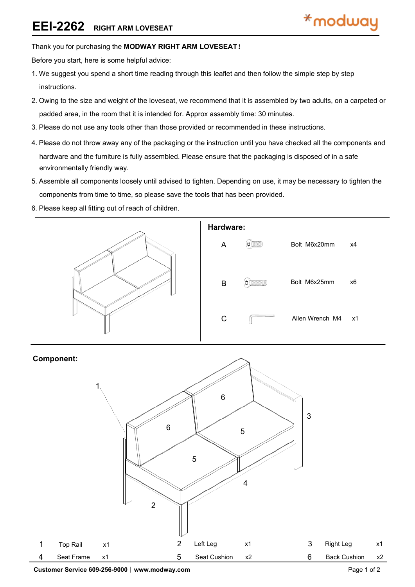### Thank you for purchasing the **MODWAY RIGHT ARM LOVESEAT**!

Before you start, here is some helpful advice:

- 1.We suggest you spend a short time reading through this leaflet and then follow the simple step by step instructions.
- 2.Owing to the size and weight of the loveseat, we recommend that it is assembled by two adults, on a carpeted or padded area, in the room that it is intended for. Approx assembly time: 30 minutes.
- 3.Please do not use any tools other than those provided or recommended in these instructions.
- 4.Please do not throw away any of the packaging or the instruction until you have checked all the components and hardware and the furniture is fully assembled. Please ensure that the packaging is disposed of in a safe environmentally friendly way.
- 5.Assemble all components loosely until advised to tighten. Depending on use, it may be necessary to tighten the components from time to time, so please save the tools that has been provided.
- 6.Please keep all fitting out of reach of children.



## **Component:**